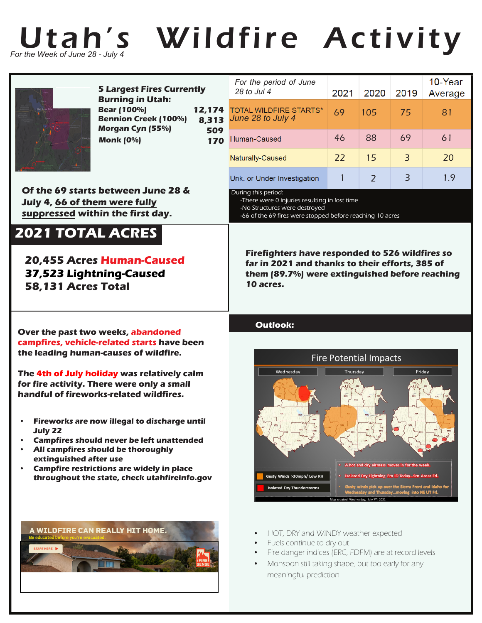

## Utah's Wildfire Activity



**July 22**

**12,174 8,313 509 170 5 Largest Fires Currently Burning in Utah: Bear (100%) Bennion Creek (100%) Morgan Cyn (55%) Monk (0%)**

**Of the 69 starts between June 28 & July 4, 66 of them were fully suppressed within the first day.**

## **2021 TOTAL ACRES**

**20,455 Acres Human-Caused 37,523 Lightning-Caused 58,131 Acres Total**

**Over the past two weeks, abandoned campfires, vehicle-related starts have been** 

**the leading human-causes of wildfire.**

**• All campfires should be thoroughly**

**extinguished after use**

**The 4th of July holiday was relatively calm for fire activity. There were only a small handful of fireworks-related wildfires.**

**• Fireworks are now illegal to discharge until**

**• Campfires should never be left unattended**

**throughout the state, check utahfireinfo.gov**

**• Campfire restrictions are widely in place**

| 4<br>3<br>9<br>O | For the period of June<br>28 to Jul 4              | 2021 | 2020 | 2019 | 10-Year<br>Average |
|------------------|----------------------------------------------------|------|------|------|--------------------|
|                  | <b>TOTAL WILDFIRE STARTS*</b><br>June 28 to July 4 | 69   | 105  | 75   | 81                 |
|                  | Human-Caused                                       | 46   | 88   | 69   | 61                 |
|                  | Naturally-Caused                                   | 22   | 15   | 3    | 20                 |
|                  | Unk. or Under Investigation                        |      |      | 3    |                    |

During this period:

-There were 0 injuries resulting in lost time -No Structures were destroyed -66 of the 69 fires were stopped before reaching 10 acres

**Firefighters have responded to 526 wildfires so far in 2021 and thanks to their efforts, 385 of them (89.7%) were extinguished before reaching 10 acres.**

## **Outlook:**





- HOT, DRY and WINDY weather expected
- Fuels continue to dry out
- Fire danger indices (ERC, FDFM) are at record levels
- Monsoon still taking shape, but too early for any meaningful prediction